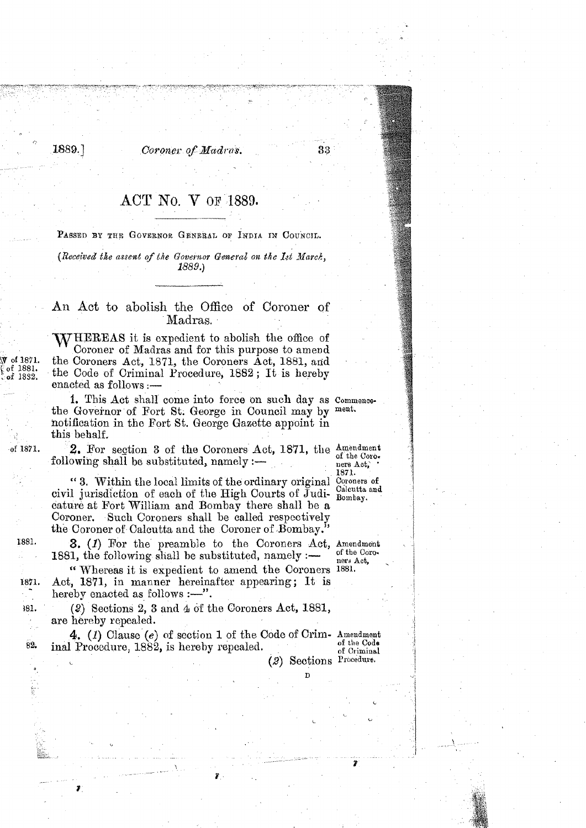Coroner of Madras.

**1889.1** 

## $\text{ACT NO. V OF } 1889.$

PASSED BY THE GOVERNOR GENERAL OF INDIA IN COUNCIL.

(Received the assent of the Governor General on the Ist March, 1889.)

## An Act to abolish the Office of Coroner of Madras.

WHEREAS it is expedient to abolish the office of Coroner of Madras and for this purpose to amend the Coroners Act, 1871, the Coroners Act, 1881, and the Code of Criminal Procedure,  $1882$ ; It is hereby enacted as follows :-

1. This Act shall come into force on such day as Commencethe Governor of Fort St. George in Council may by ment. notification in the Fort St. George Gazette appoint in this behalf.

**2.** For section 3 of the Coroners Act, 1871, the  $\frac{\text{Amendment}}{\text{of the Coro-} \text{perb Act}}$ 

<sup>1871</sup>.<br>
" **3.** Within the local limits of the ordinary original Coroners of civil jurisdiction of each of the High Courts of Judi-Bombay. cature at Fort William and Bombay there shall be a Coroner. Such Coroners shall be called respectively the Coroner of-Calcutta and the Coroner of Bombay."

**3.** (1) For the preamble to the Coroners Act, Amendment 1881, the following shall be substituted, namely :— of the Coroners Act, "Whereas it is expedient to amend the Coroners 1881.

" Whereas it is expedient to amend the Coroners 1881.<br>Act, 1871, in manner hereinafter appearing; It is hereby enacted as follows  $:$   $-$ ".

(2.) Sections **2, 3** and **4** of the Coroners Act, 1881, are hereby repealed.

**4.** (1) Clause (e) of section 1 of the Code of Crim- Amendment  $\frac{1089}{\text{cm}}$  , is homehy reproated  $\begin{array}{c} \text{inal Procedure, 1882, is hereby repeated.} \end{array}$  of  $\begin{array}{c} \text{of the Code} \\ \text{of Criminal} \end{array}$ 

**D** ,..

(2) Sections Procedure.

ners Act.

33

i

 $\sim$  in the set of  $\sim$ 

1881.

1871

381.

82.

of 1871.

of 1871.

f 1881.  $of$  1832.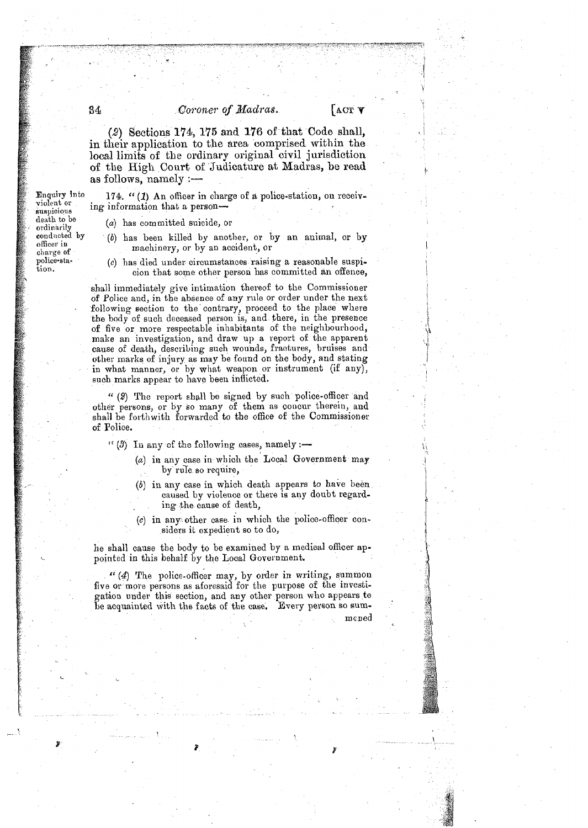## Coroner of *Madras.*

I,

*(2)* Sections **174, 115 and 176** of that Code allall, in their application to the area comprised within the local limits of the ordinary original civil jurisdiction of the High Court of Judicature at Madras, be read as follows, namely  $:$ 

174.  $(1)$  An officer in charge of a police-station, on receiving information that a person-

(a) has committed suicide, or

- (b) has been killed by another, or by an animal, or by machinery, or by an accident, or
- (c) has died under circumstances raising a reasonable suspicion that some other person has committed an offence,

shall immediately give intimation thereof to the Commissioner of Police and, in the absence of any rule or order under the next following section to the contrary, proceed to the place where the body of such deceased person is, and there, in the presence of five or more respectable inhabitants of the neighbourhood, make an investigation, and draw up a report of the apparent cause of death, describing such wounds, fractures, bruises and other marks of injury as may be found on the body, and stating in what manner, or by what weapon or instrument (if any), such marks appear to have been inflicted.

" (2) The report shall be signed by such police-officer and other persons, or by so many of them as concur therein, and shall be forthwith forwarded to the office of the Commissioner of Police.

 $\cdot$  (3) In any of the following cases, namely :-

- (a) in any case in which the Local Government may by rule so require,
- (b) in any case in which death appears to have been caused by violence or there is any doubt regarding the cause of death,
- (c) in any other case in which the police-officer considers it expedient so to do,

he shall cause the body to be examined by a medioal officer appointed in this behalf by the Local Government.

" (4) The police-officer may, by order in writing, summon five or more persons as aforesaid for the purpose of the investigation under this section, and any other person who appears to be acquainted with the facts of the case. Every person so sum-

mcned

Enquiry into violent or suspicious death to be ordinarily conducted by officer in charge of police-sta-

tion.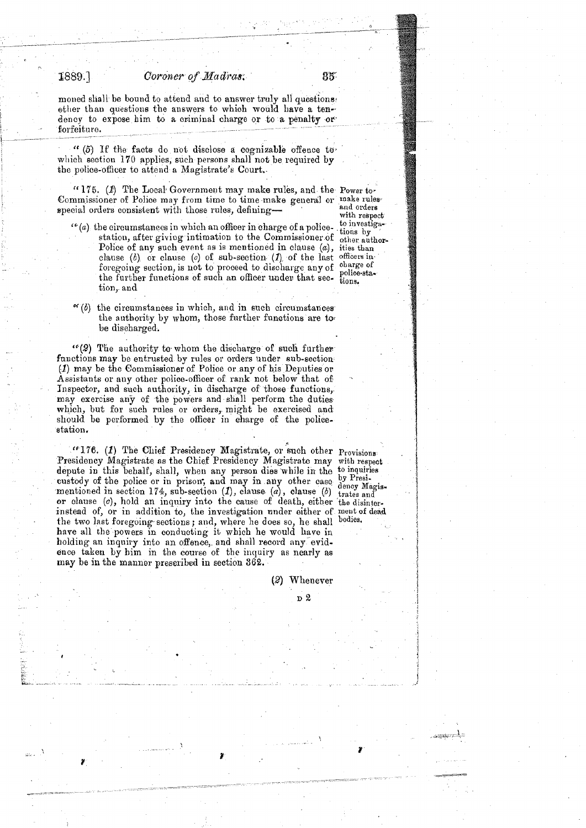1889.]

- -

85

moned shall be bound to attend and to answer truly all questions other than questions the answers to which would have a tenother than questions the answers to which would have a ten--<br>dency to expose him to a criminal charge or to a penalty or forfeiture. dency to expose him to a criminal charge or to a penforfeiture.

> '' (5) If the facts do not disclose a cognizable offence to. which section 170 applies, such persons shall not be required by the police-officer to attend a Magistrate's Court.

(' 175. (1) The Local Government may make rules, and the Power tov Commissioner of Police may from time to time make general or make rules special orders consistent with those rules, defining-

- $''(a)$  the circumstances in which an officer in charge of a police-  $\frac{1}{1000}$  hy station, after giving intimation to the Commissioner of other author-Police of any such event as is mentioned in clause  $(a)$ , ities than clause (b) or clause (c) of sub-section  $(1)$  of the last officers in foregoing section, is not to proceed to discharge any of charge of foregoing section, is not to proceed to discharge any of police-sta-<br>the further functions of such an officer under that sec- tions. tion, and
- with respect<br>to investiga-
- $\alpha(b)$  the circumstances in which, and in such circumstances the authority by whom, those further functions are tobe discharged.

 $\cdot$  (2) The authority to whom the discharge of such further functions may be entrusted by rules or orders under sub-section (1) may be the Gommissioner of Polioe or any of his Deputies or Assistants or any other police-officer of rank not below that of Inspector, and such authority, in discharge of those functions, may exercise any of the powers and shall perform the duties which, but for such rules or orders, might be exercised and sliould be performed by the officer in aharge of the policestation,

<sup>*re*</sup>176. (1) The Chief Presidency Magistrate, or such other Provisions: Presidency Magistrate as the Chief Presidency Magistrate may with respect depute in this behalf, shall, when any person dies while in the to inquiries<br>custody of the police or in prison, and may in any other case by Presi-<br>mentioned in section 174, sub-section (1), clause (a), clause (b) dency mentioned in section 174, sub-section (1), clause (a), clause (b) trates and<br>or clause (c), hold an inquiry into the cause of death, either the disinterinstead of, or in addition to, the investigation under either of ment of dead the two last foregoing sections; and, where he does so, he shall bodies. have all the powers in conducting it which he mould have in holding an inquiry into an offence, and shall record any evidence taken by him in the course of the inquiry as nearly as **may** be in the manner prescribed in section **362.** 

i.. . . .: . . . . ... . . .. . .,~. . .. . . . . . ... . - . . . . . . . .. ..- .~ . . ..

(2) Whenever <sub>D</sub> 2